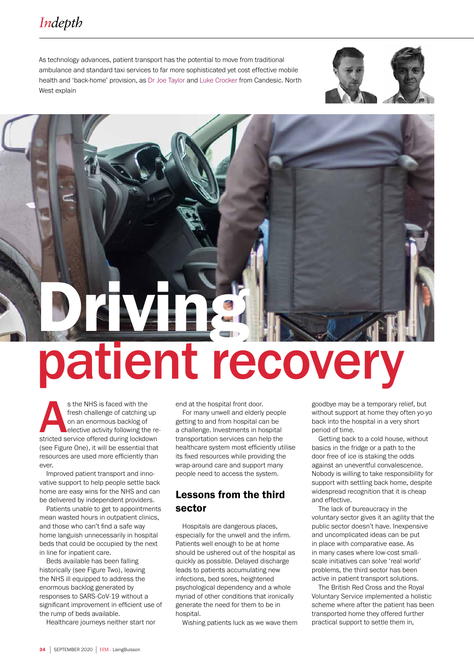# *Indepth*

As technology advances, patient transport has the potential to move from traditional ambulance and standard taxi services to far more sophisticated yet cost effective mobile health and 'back-home' provision, as Dr Joe Taylor and Luke Crocker from Candesic. North West explain



# Driving patient recovery

s the NHS is faced with the<br>
fresh challenge of catching up<br>
on an enormous backlog of<br>
elective activity following the re<br>
stricted service offered during lockdown fresh challenge of catching up on an enormous backlog of elective activity following the re-(see Figure One), it will be essential that resources are used more efficiently than ever.

Improved patient transport and innovative support to help people settle back home are easy wins for the NHS and can be delivered by independent providers.

Patients unable to get to appointments mean wasted hours in outpatient clinics, and those who can't find a safe way home languish unnecessarily in hospital beds that could be occupied by the next in line for inpatient care.

Beds available has been falling historically (see Figure Two), leaving the NHS ill equipped to address the enormous backlog generated by responses to SARS-CoV-19 without a significant improvement in efficient use of the rump of beds available.

Healthcare journeys neither start nor

end at the hospital front door.

For many unwell and elderly people getting to and from hospital can be a challenge. Investments in hospital transportation services can help the healthcare system most efficiently utilise its fixed resources while providing the wrap-around care and support many people need to access the system.

## Lessons from the third sector

Hospitals are dangerous places, especially for the unwell and the infirm. Patients well enough to be at home should be ushered out of the hospital as quickly as possible. Delayed discharge leads to patients accumulating new infections, bed sores, heightened psychological dependency and a whole myriad of other conditions that ironically generate the need for them to be in hospital.

Wishing patients luck as we wave them

goodbye may be a temporary relief, but without support at home they often yo-yo back into the hospital in a very short period of time.

Getting back to a cold house, without basics in the fridge or a path to the door free of ice is staking the odds against an uneventful convalescence. Nobody is willing to take responsibility for support with settling back home, despite widespread recognition that it is cheap and effective.

The lack of bureaucracy in the voluntary sector gives it an agility that the public sector doesn't have. Inexpensive and uncomplicated ideas can be put in place with comparative ease. As in many cases where low-cost smallscale initiatives can solve 'real world' problems, the third sector has been active in patient transport solutions.

The British Red Cross and the Royal Voluntary Service implemented a holistic scheme where after the patient has been transported home they offered further practical support to settle them in,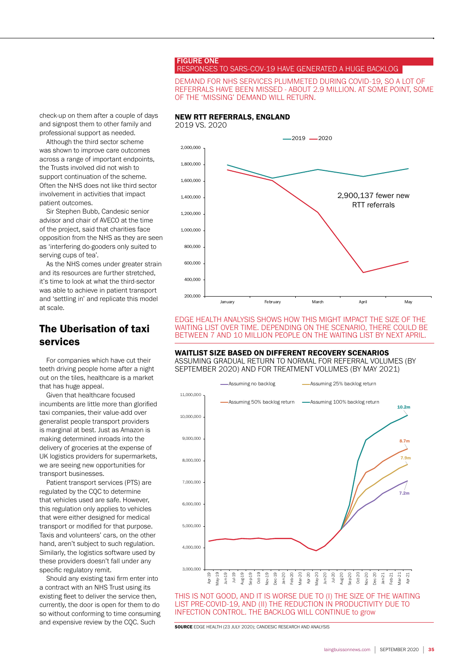#### FIGURE ONE RESPONSES TO SARS-COV-19 HAVE GENERATED A HUGE BACKLOG

#### DEMAND FOR NHS SERVICES PLUMMETED DURING COVID-19, SO A LOT OF REFERRALS HAVE BEEN MISSED - ABOUT 2.9 MILLION. AT SOME POINT, SOME OF THE 'MISSING' DEMAND WILL RETURN.

check-up on them after a couple of days and signpost them to other family and professional support as needed.

Although the third sector scheme was shown to improve care outcomes across a range of important endpoints, the Trusts involved did not wish to support continuation of the scheme. Often the NHS does not like third sector involvement in activities that impact patient outcomes.

Sir Stephen Bubb, Candesic senior advisor and chair of AVECO at the time of the project, said that charities face opposition from the NHS as they are seen as 'interfering do-gooders only suited to serving cups of tea'.

As the NHS comes under greater strain and its resources are further stretched, it's time to look at what the third-sector was able to achieve in patient transport and 'settling in' and replicate this model at scale.

# The Uberisation of taxi services

For companies which have cut their teeth driving people home after a night out on the tiles, healthcare is a market that has huge appeal.

Given that healthcare focused incumbents are little more than glorified taxi companies, their value-add over generalist people transport providers is marginal at best. Just as Amazon is making determined inroads into the delivery of groceries at the expense of UK logistics providers for supermarkets, we are seeing new opportunities for transport businesses.

Patient transport services (PTS) are regulated by the CQC to determine that vehicles used are safe. However, this regulation only applies to vehicles that were either designed for medical transport or modified for that purpose. Taxis and volunteers' cars, on the other hand, aren't subject to such regulation. Similarly, the logistics software used by these providers doesn't fall under any specific regulatory remit.

Should any existing taxi firm enter into a contract with an NHS Trust using its existing fleet to deliver the service then, currently, the door is open for them to do so without conforming to time consuming and expensive review by the CQC. Such  $\overline{\text{source}$  EDGE HEALTH (23 JULY 2020); CANDESIC RESEARCH AND ANALYSIS



EDGE HEALTH ANALYSIS SHOWS HOW THIS MIGHT IMPACT THE SIZE OF THE WAITING LIST OVER TIME. DEPENDING ON THE SCENARIO, THERE COULD BE BETWEEN 7 AND 10 MILLION PEOPLE ON THE WAITING LIST BY NEXT APRIL.

#### WAITLIST SIZE BASED ON DIFFERENT RECOVERY SCENARIOS

ASSUMING GRADUAL RETURN TO NORMAL FOR REFERRAL VOLUMES (BY SEPTEMBER 2020) AND FOR TREATMENT VOLUMES (BY MAY 2021)



THIS IS NOT GOOD, AND IT IS WORSE DUE TO (I) THE SIZE OF THE WAITING LIST PRE-COVID-19, AND (II) THE REDUCTION IN PRODUCTIVITY DUE TO INFECTION CONTROL. THE BACKLOG WILL CONTINUE to grow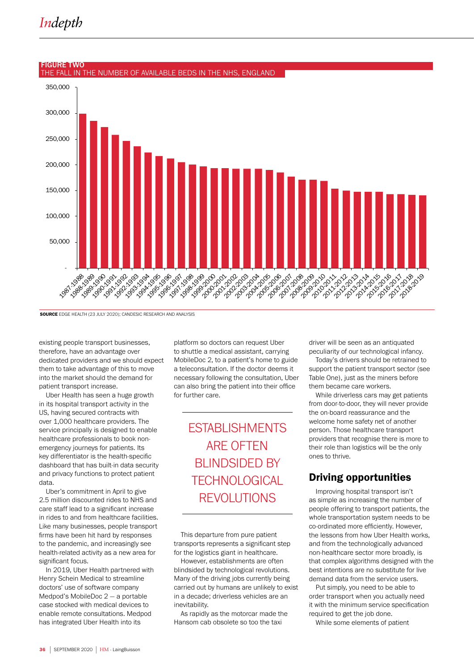# *Indepth*



#### FIGURE TWO THE FALL IN THE NUMBER OF AVAILABLE BEDS IN THE NHS, ENGLAND

SOURCE EDGE HEALTH (23 JULY 2020); CANDESIC RESEARCH AND ANALYSIS

existing people transport businesses, therefore, have an advantage over dedicated providers and we should expect them to take advantage of this to move into the market should the demand for patient transport increase.

Uber Health has seen a huge growth in its hospital transport activity in the US, having secured contracts with over 1,000 healthcare providers. The service principally is designed to enable healthcare professionals to book nonemergency journeys for patients. Its key differentiator is the health-specific dashboard that has built-in data security and privacy functions to protect patient data.

Uber's commitment in April to give 2.5 million discounted rides to NHS and care staff lead to a significant increase in rides to and from healthcare facilities. Like many businesses, people transport firms have been hit hard by responses to the pandemic, and increasingly see health-related activity as a new area for significant focus.

In 2019, Uber Health partnered with Henry Schein Medical to streamline doctors' use of software company Medpod's MobileDoc 2 — a portable case stocked with medical devices to enable remote consultations. Medpod has integrated Uber Health into its

platform so doctors can request Uber to shuttle a medical assistant, carrying MobileDoc 2, to a patient's home to guide a teleconsultation. If the doctor deems it necessary following the consultation, Uber can also bring the patient into their office for further care.

> ESTABLISHMENTS ARE OFTEN BLINDSIDED BY **TECHNOLOGICAL** REVOLUTIONS

This departure from pure patient transports represents a significant step for the logistics giant in healthcare.

However, establishments are often blindsided by technological revolutions. Many of the driving jobs currently being carried out by humans are unlikely to exist in a decade; driverless vehicles are an inevitability.

As rapidly as the motorcar made the Hansom cab obsolete so too the taxi

driver will be seen as an antiquated peculiarity of our technological infancy.

Today's drivers should be retrained to support the patient transport sector (see Table One), just as the miners before them became care workers.

While driverless cars may get patients from door-to-door, they will never provide the on-board reassurance and the welcome home safety net of another person. Those healthcare transport providers that recognise there is more to their role than logistics will be the only ones to thrive.

# Driving opportunities

Improving hospital transport isn't as simple as increasing the number of people offering to transport patients, the whole transportation system needs to be co-ordinated more efficiently. However, the lessons from how Uber Health works, and from the technologically advanced non-healthcare sector more broadly, is that complex algorithms designed with the best intentions are no substitute for live demand data from the service users.

Put simply, you need to be able to order transport when you actually need it with the minimum service specification required to get the job done.

While some elements of patient